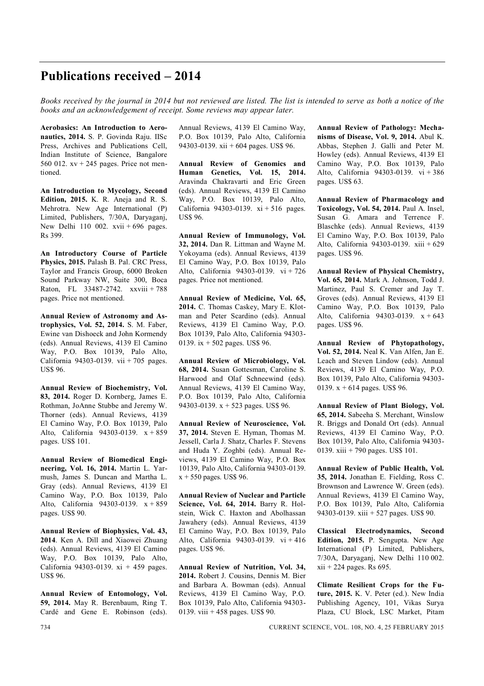## **Publications received – 2014**

*Books received by the journal in 2014 but not reviewed are listed. The list is intended to serve as both a notice of the books and an acknowledgement of receipt. Some reviews may appear later.*

**Aerobasics: An Introduction to Aeronautics, 2014.** S. P. Govinda Raju. IISc Press, Archives and Publications Cell, Indian Institute of Science, Bangalore 560 012.  $xy + 245$  pages. Price not mentioned.

**An Introduction to Mycology, Second Edition, 2015.** K. R. Aneja and R. S. Mehrotra. New Age International (P) Limited, Publishers, 7/30A, Daryaganj, New Delhi 110 002. xvii + 696 pages. Rs 399.

**An Introductory Course of Particle Physics, 2015.** Palash B. Pal. CRC Press, Taylor and Francis Group, 6000 Broken Sound Parkway NW, Suite 300, Boca Raton, FL 33487-2742. xxviii + 788 pages. Price not mentioned.

**Annual Review of Astronomy and Astrophysics, Vol. 52, 2014.** S. M. Faber, Ewine van Dishoeck and John Kormendy (eds). Annual Reviews, 4139 El Camino Way, P.O. Box 10139, Palo Alto, California 94303-0139. vii + 705 pages. US\$ 96.

**Annual Review of Biochemistry, Vol. 83, 2014.** Roger D. Kornberg, James E. Rothman, JoAnne Stubbe and Jeremy W. Thorner (eds). Annual Reviews, 4139 El Camino Way, P.O. Box 10139, Palo Alto, California 94303-0139. x + 859 pages. US\$ 101.

**Annual Review of Biomedical Engineering, Vol. 16, 2014.** Martin L. Yarmush, James S. Duncan and Martha L. Gray (eds). Annual Reviews, 4139 El Camino Way, P.O. Box 10139, Palo Alto, California 94303-0139. x + 859 pages. US\$ 90.

**Annual Review of Biophysics, Vol. 43, 2014**. Ken A. Dill and Xiaowei Zhuang (eds). Annual Reviews, 4139 El Camino Way, P.O. Box 10139, Palo Alto, California 94303-0139. xi + 459 pages. US\$ 96.

**Annual Review of Entomology, Vol. 59, 2014.** May R. Berenbaum, Ring T. Cardé and Gene E. Robinson (eds). Annual Reviews, 4139 El Camino Way, P.O. Box 10139, Palo Alto, California 94303-0139. xii + 604 pages. US\$ 96.

**Annual Review of Genomics and Human Genetics, Vol. 15, 2014.** Aravinda Chakravarti and Eric Green (eds). Annual Reviews, 4139 El Camino Way, P.O. Box 10139, Palo Alto, California 94303-0139. xi + 516 pages. US\$ 96.

**Annual Review of Immunology, Vol. 32, 2014.** Dan R. Littman and Wayne M. Yokoyama (eds). Annual Reviews, 4139 El Camino Way, P.O. Box 10139, Palo Alto, California 94303-0139. vi + 726 pages. Price not mentioned.

**Annual Review of Medicine, Vol. 65, 2014.** C. Thomas Caskey, Mary E. Klotman and Peter Scardino (eds). Annual Reviews, 4139 El Camino Way, P.O. Box 10139, Palo Alto, California 94303- 0139. ix + 502 pages. US\$ 96.

**Annual Review of Microbiology, Vol. 68, 2014.** Susan Gottesman, Caroline S. Harwood and Olaf Schneewind (eds). Annual Reviews, 4139 El Camino Way, P.O. Box 10139, Palo Alto, California 94303-0139. x + 523 pages. US\$ 96.

**Annual Review of Neuroscience, Vol. 37, 2014.** Steven E. Hyman, Thomas M. Jessell, Carla J. Shatz, Charles F. Stevens and Huda Y. Zoghbi (eds). Annual Reviews, 4139 El Camino Way, P.O. Box 10139, Palo Alto, California 94303-0139.  $x + 550$  pages. US\$ 96.

**Annual Review of Nuclear and Particle Science, Vol. 64, 2014.** Barry R. Holstein, Wick C. Haxton and Abolhassan Jawahery (eds). Annual Reviews, 4139 El Camino Way, P.O. Box 10139, Palo Alto, California 94303-0139. vi + 416 pages. US\$ 96.

**Annual Review of Nutrition, Vol. 34, 2014.** Robert J. Cousins, Dennis M. Bier and Barbara A. Bowman (eds). Annual Reviews, 4139 El Camino Way, P.O. Box 10139, Palo Alto, California 94303- 0139. viii + 458 pages. US\$ 90.

**Annual Review of Pathology: Mechanisms of Disease, Vol. 9, 2014.** Abul K. Abbas, Stephen J. Galli and Peter M. Howley (eds). Annual Reviews, 4139 El Camino Way, P.O. Box 10139, Palo Alto, California 94303-0139. vi + 386 pages. US\$ 63.

**Annual Review of Pharmacology and Toxicology, Vol. 54, 2014.** Paul A. Insel, Susan G. Amara and Terrence F. Blaschke (eds). Annual Reviews, 4139 El Camino Way, P.O. Box 10139, Palo Alto, California 94303-0139. xiii + 629 pages. US\$ 96.

**Annual Review of Physical Chemistry, Vol. 65, 2014.** Mark A. Johnson, Todd J. Martinez, Paul S. Cremer and Jay T. Groves (eds). Annual Reviews, 4139 El Camino Way, P.O. Box 10139, Palo Alto, California 94303-0139. x + 643 pages. US\$ 96.

**Annual Review of Phytopathology, Vol. 52, 2014.** Neal K. Van Alfen, Jan E. Leach and Steven Lindow (eds). Annual Reviews, 4139 El Camino Way, P.O. Box 10139, Palo Alto, California 94303- 0139. x + 614 pages. US\$ 96.

**Annual Review of Plant Biology, Vol. 65, 2014.** Sabeeha S. Merchant, Winslow R. Briggs and Donald Ort (eds). Annual Reviews, 4139 El Camino Way, P.O. Box 10139, Palo Alto, California 94303- 0139. xiii + 790 pages. US\$ 101.

**Annual Review of Public Health, Vol. 35, 2014.** Jonathan E. Fielding, Ross C. Brownson and Lawrence W. Green (eds). Annual Reviews, 4139 El Camino Way, P.O. Box 10139, Palo Alto, California 94303-0139. xiii + 527 pages. US\$ 90.

**Classical Electrodynamics, Second Edition, 2015.** P. Sengupta. New Age International (P) Limited, Publishers, 7/30A, Daryaganj, New Delhi 110 002.  $xii + 224$  pages. Rs 695.

**Climate Resilient Crops for the Future, 2015.** K. V. Peter (ed.). New India Publishing Agency, 101, Vikas Surya Plaza, CU Block, LSC Market, Pitam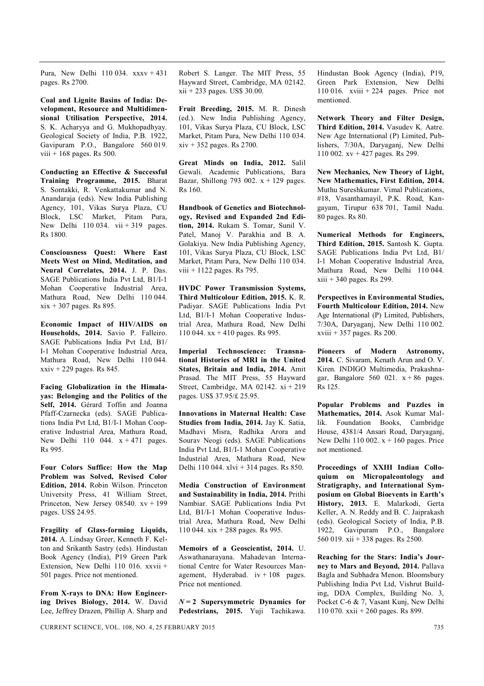Pura, New Delhi 110 034. xxxv + 431 pages. Rs 2700.

**Coal and Lignite Basins of India: Development, Resource and Multidimensional Utilisation Perspective, 2014.** S. K. Acharyya and G. Mukhopadhyay. Geological Society of India, P.B. 1922, Gavipuram P.O., Bangalore 560 019. viii  $+ 168$  pages. Rs 500.

**Conducting an Effective & Successful Training Programme, 2015.** Bharat S. Sontakki, R. Venkattakumar and N. Anandaraja (eds). New India Publishing Agency, 101, Vikas Surya Plaza, CU Block, LSC Market, Pitam Pura, New Delhi 110 034. vii  $+319$  pages. Rs 1800.

**Consciousness Quest: Where East Meets West on Mind, Meditation, and Neural Correlates, 2014.** J. P. Das. SAGE Publications India Pvt Ltd, B1/I-1 Mohan Cooperative Industrial Area, Mathura Road, New Delhi 110 044.  $xix + 307$  pages. Rs 895.

**Economic Impact of HIV/AIDS on Households, 2014.** Savio P. Falleiro. SAGE Publications India Pvt Ltd, B1/ I-1 Mohan Cooperative Industrial Area, Mathura Road, New Delhi 110 044.  $xxiv + 229$  pages. Rs 845.

**Facing Globalization in the Himalayas: Belonging and the Politics of the Self, 2014.** Gérard Toffin and Joanna Pfaff-Czarnecka (eds). SAGE Publications India Pvt Ltd, B1/I-1 Mohan Cooperative Industrial Area, Mathura Road, New Delhi 110 044.  $x + 471$  pages. Rs 995.

**Four Colors Suffice: How the Map Problem was Solved, Revised Color Edition, 2014.** Robin Wilson. Princeton University Press, 41 William Street, Princeton, New Jersey  $08540$ .  $xy + 199$ pages. US\$ 24.95.

**Fragility of Glass-forming Liquids, 2014.** A. Lindsay Greer, Kenneth F. Kelton and Srikanth Sastry (eds). Hindustan Book Agency (India), P19 Green Park Extension, New Delhi 110 016. xxvii + 501 pages. Price not mentioned.

**From X-rays to DNA: How Engineering Drives Biology, 2014.** W. David Lee, Jeffrey Drazen, Phillip A. Sharp and Robert S. Langer. The MIT Press, 55 Hayward Street, Cambridge, MA 02142. xii + 233 pages. US\$ 30.00.

**Fruit Breeding, 2015.** M. R. Dinesh (ed.). New India Publishing Agency, 101, Vikas Surya Plaza, CU Block, LSC Market, Pitam Pura, New Delhi 110 034. xiv + 352 pages. Rs 2700.

**Great Minds on India, 2012.** Salil Gewali. Academic Publications, Bara Bazar, Shillong 793 002.  $x + 129$  pages. Rs 160.

**Handbook of Genetics and Biotechnology, Revised and Expanded 2nd Edition, 2014.** Rukam S. Tomar, Sunil V. Patel, Manoj V. Parakhia and B. A. Golakiya. New India Publishing Agency, 101, Vikas Surya Plaza, CU Block, LSC Market, Pitam Pura, New Delhi 110 034. viii + 1122 pages. Rs 795.

**HVDC Power Transmission Systems, Third Multicolour Edition, 2015.** K. R. Padiyar. SAGE Publications India Pvt Ltd, B1/I-1 Mohan Cooperative Industrial Area, Mathura Road, New Delhi 110 044. xx + 410 pages. Rs 995.

**Imperial Technoscience: Transnational Histories of MRI in the United States, Britain and India, 2014.** Amit Prasad. The MIT Press, 55 Hayward Street, Cambridge, MA 02142. xi + 219 pages. US\$ 37.95/£ 25.95.

**Innovations in Maternal Health: Case Studies from India, 2014.** Jay K. Satia, Madhavi Misra, Radhika Arora and Sourav Neogi (eds). SAGE Publications India Pvt Ltd, B1/I-1 Mohan Cooperative Industrial Area, Mathura Road, New Delhi 110 044. xlvi + 314 pages. Rs 850.

**Media Construction of Environment and Sustainability in India, 2014.** Prithi Nambiar. SAGE Publications India Pvt Ltd, B1/I-1 Mohan Cooperative Industrial Area, Mathura Road, New Delhi 110 044. xix + 288 pages. Rs 995.

**Memoirs of a Geoscientist, 2014.** U. Aswathanarayana. Mahadevan International Centre for Water Resources Management, Hyderabad.  $iv + 108$  pages. Price not mentioned.

 $N = 2$  Supersymmetric Dynamics for **Pedestrians, 2015.** Yuji Tachikawa. Hindustan Book Agency (India), P19, Green Park Extension, New Delhi 110 016. xviii + 224 pages. Price not mentioned.

**Network Theory and Filter Design, Third Edition, 2014.** Vasudev K. Aatre. New Age International (P) Limited, Publishers, 7/30A, Daryaganj, New Delhi 110 002. xv + 427 pages. Rs 299.

**New Mechanics, New Theory of Light, New Mathematics, First Edition, 2014.** Muthu Sureshkumar. Vimal Publications, #18, Vasanthamayil, P.K. Road, Kangayam, Tirupur 638 701, Tamil Nadu. 80 pages. Rs 80.

**Numerical Methods for Engineers, Third Edition, 2015.** Santosh K. Gupta. SAGE Publications India Pvt Ltd, B1/ I-1 Mohan Cooperative Industrial Area, Mathura Road, New Delhi 110 044. xiii + 340 pages. Rs 299.

**Perspectives in Environmental Studies, Fourth Multicolour Edition, 2014.** New Age International (P) Limited, Publishers, 7/30A, Daryaganj, New Delhi 110 002. xviii + 357 pages. Rs 200.

**Pioneers of Modern Astronomy, 2014.** C. Sivaram, Kenath Arun and O. V. Kiren. INDIGO Multimedia, Prakashnagar, Bangalore 560 021.  $x + 86$  pages. Rs 125.

**Popular Problems and Puzzles in Mathematics, 2014.** Asok Kumar Mallik. Foundation Books, Cambridge House, 4381/4 Ansari Road, Daryaganj, New Delhi 110 002.  $x + 160$  pages. Price not mentioned.

**Proceedings of XXIII Indian Colloquium on Micropaleontology and Stratigraphy, and International Symposium on Global Bioevents in Earth's History, 2013.** E. Malarkodi, Gerta Keller, A. N. Reddy and B. C. Jaiprakash (eds). Geological Society of India, P.B. 1922, Gavipuram P.O., Bangalore 560 019. xii + 338 pages. Rs 2500.

**Reaching for the Stars: India's Journey to Mars and Beyond, 2014.** Pallava Bagla and Subhadra Menon. Bloomsbury Publishing India Pvt Ltd, Vishrut Building, DDA Complex, Building No. 3, Pocket C-6 & 7, Vasant Kunj, New Delhi 110 070. xxii + 260 pages. Rs 899.